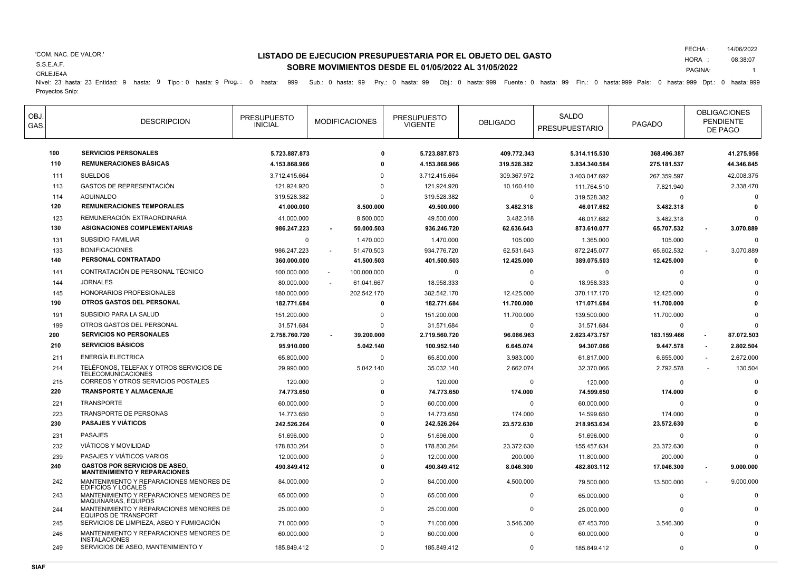#### 'COM. NAC. DE VALOR.'

**LISTADO DE EJECUCION PRESUPUESTARIA POR EL OBJETO DEL GASTO SOBRE MOVIMIENTOS DESDE EL 01/05/2022 AL 31/05/2022**

FECHA : HORA : 14/06/2022 08:38:07

1

CRLEJE4A S.S.E.A.F.

PAGINA: Nivel: 23 hasta: 23 Entidad: 9 hasta: 9 Tipo : 0 hasta: 9 Prog.: 0 hasta: 999 Sub.: 0 hasta: 99 Pry.: 0 hasta: 99 Obj.: 0 hasta: 999 Fuente : 0 hasta: 99 Fin.: 0 hasta: 999 País: 0 hasta: 999 Dpt.: 0 hasta: 999 Dpt.: 0 has Proyectos Snip:

| <b>OBJ</b><br>GAS. |     | <b>DESCRIPCION</b>                                                          | <b>PRESUPUESTO</b><br><b>INICIAL</b> | <b>MODIFICACIONES</b>        | <b>PRESUPUESTO</b><br><b>VIGENTE</b> | <b>OBLIGADO</b> | SALDO<br><b>PRESUPUESTARIO</b> | <b>PAGADO</b> | <b>OBLIGACIONES</b><br><b>PENDIENTE</b><br>DE PAGO |
|--------------------|-----|-----------------------------------------------------------------------------|--------------------------------------|------------------------------|--------------------------------------|-----------------|--------------------------------|---------------|----------------------------------------------------|
|                    | 100 | <b>SERVICIOS PERSONALES</b>                                                 | 5.723.887.873                        |                              | 5.723.887.873<br>O                   | 409.772.343     | 5.314.115.530                  | 368.496.387   | 41.275.956                                         |
|                    | 110 | <b>REMUNERACIONES BÁSICAS</b>                                               | 4.153.868.966                        |                              | 0<br>4.153.868.966                   | 319.528.382     | 3.834.340.584                  | 275.181.537   | 44.346.845                                         |
|                    | 111 | <b>SUELDOS</b>                                                              | 3.712.415.664                        |                              | 3.712.415.664<br>$\Omega$            | 309.367.972     | 3.403.047.692                  | 267.359.597   | 42.008.375                                         |
|                    | 113 | <b>GASTOS DE REPRESENTACIÓN</b>                                             | 121.924.920                          |                              | $\Omega$<br>121.924.920              | 10.160.410      | 111.764.510                    | 7.821.940     | 2.338.470                                          |
|                    | 114 | <b>AGUINALDO</b>                                                            | 319.528.382                          |                              | 319.528.382<br>$\Omega$              | $\Omega$        | 319.528.382                    | $\Omega$      | $\Omega$                                           |
|                    | 120 | <b>REMUNERACIONES TEMPORALES</b>                                            | 41.000.000                           | 8.500.000                    | 49.500.000                           | 3.482.318       | 46.017.682                     | 3.482.318     |                                                    |
|                    | 123 | REMUNERACIÓN EXTRAORDINARIA                                                 | 41.000.000                           | 8.500.000                    | 49.500.000                           | 3.482.318       | 46.017.682                     | 3.482.318     |                                                    |
|                    | 130 | <b>ASIGNACIONES COMPLEMENTARIAS</b>                                         | 986.247.223                          | 50.000.503<br>$\blacksquare$ | 936.246.720                          | 62.636.643      | 873.610.077                    | 65.707.532    | 3.070.889                                          |
|                    | 131 | <b>SUBSIDIO FAMILIAR</b>                                                    | $\mathbf 0$                          | 1.470.000                    | 1.470.000                            | 105.000         | 1.365.000                      | 105.000       | $\Omega$                                           |
|                    | 133 | <b>BONIFICACIONES</b>                                                       | 986.247.223                          | 51.470.503                   | 934.776.720                          | 62.531.643      | 872.245.077                    | 65.602.532    | 3.070.889                                          |
|                    | 140 | PERSONAL CONTRATADO                                                         | 360.000.000                          | 41.500.503                   | 401.500.503                          | 12.425.000      | 389.075.503                    | 12.425.000    | O                                                  |
|                    | 141 | CONTRATACIÓN DE PERSONAL TÉCNICO                                            | 100.000.000                          | 100.000.000                  | $\Omega$                             | $\Omega$        | $\Omega$                       | $\Omega$      |                                                    |
|                    | 144 | <b>JORNALES</b>                                                             | 80.000.000                           | 61.041.667                   | 18.958.333                           | $\Omega$        | 18.958.333                     | $\Omega$      |                                                    |
|                    | 145 | HONORARIOS PROFESIONALES                                                    | 180.000.000                          | 202.542.170                  | 382.542.170                          | 12.425.000      | 370.117.170                    | 12.425.000    |                                                    |
|                    | 190 | OTROS GASTOS DEL PERSONAL                                                   | 182.771.684                          |                              | O<br>182.771.684                     | 11.700.000      | 171.071.684                    | 11.700.000    |                                                    |
|                    | 191 | SUBSIDIO PARA LA SALUD                                                      | 151.200.000                          |                              | $\mathbf 0$<br>151.200.000           | 11.700.000      | 139.500.000                    | 11.700.000    |                                                    |
|                    | 199 | OTROS GASTOS DEL PERSONAL                                                   | 31.571.684                           |                              | 31.571.684<br>0                      | $\Omega$        | 31.571.684                     | $\Omega$      |                                                    |
|                    | 200 | <b>SERVICIOS NO PERSONALES</b>                                              | 2.758.760.720                        | 39.200.000                   | 2.719.560.720                        | 96.086.963      | 2.623.473.757                  | 183.159.466   | 87.072.503                                         |
|                    | 210 | <b>SERVICIOS BÁSICOS</b>                                                    | 95.910.000                           | 5.042.140                    | 100.952.140                          | 6.645.074       | 94.307.066                     | 9.447.578     | 2.802.504                                          |
|                    | 211 | <b>ENERGÍA ELECTRICA</b>                                                    | 65.800.000                           |                              | $\mathbf{0}$<br>65.800.000           | 3.983.000       | 61.817.000                     | 6.655.000     | 2.672.000                                          |
|                    | 214 | TELÉFONOS, TELEFAX Y OTROS SERVICIOS DE<br><b>TELECOMUNICACIONES</b>        | 29.990.000                           | 5.042.140                    | 35.032.140                           | 2.662.074       | 32.370.066                     | 2.792.578     | 130.504                                            |
|                    | 215 | CORREOS Y OTROS SERVICIOS POSTALES                                          | 120.000                              |                              | $\mathbf{0}$<br>120.000              | $\Omega$        | 120.000                        | $\Omega$      |                                                    |
|                    | 220 | TRANSPORTE Y ALMACENAJE                                                     | 74.773.650                           |                              | 74.773.650<br>0                      | 174.000         | 74.599.650                     | 174.000       |                                                    |
|                    | 221 | TRANSPORTE                                                                  | 60.000.000                           |                              | $\Omega$<br>60.000.000               | $\Omega$        | 60.000.000                     | $\Omega$      |                                                    |
|                    | 223 | TRANSPORTE DE PERSONAS                                                      | 14.773.650                           |                              | 14.773.650<br>$\Omega$               | 174.000         | 14.599.650                     | 174.000       |                                                    |
|                    | 230 | <b>PASAJES Y VIÁTICOS</b>                                                   | 242.526.264                          |                              | $\Omega$<br>242.526.264              | 23.572.630      | 218.953.634                    | 23.572.630    |                                                    |
|                    | 231 | <b>PASAJES</b>                                                              | 51.696.000                           |                              | $\Omega$<br>51.696.000               | $\Omega$        | 51.696.000                     | $\Omega$      |                                                    |
|                    | 232 | <b>VIÁTICOS Y MOVILIDAD</b>                                                 | 178.830.264                          |                              | $\mathbf{0}$<br>178.830.264          | 23.372.630      | 155.457.634                    | 23.372.630    |                                                    |
|                    | 239 | PASAJES Y VIÁTICOS VARIOS                                                   | 12.000.000                           |                              | 12.000.000<br>$\Omega$               | 200.000         | 11.800.000                     | 200.000       |                                                    |
|                    | 240 | <b>GASTOS POR SERVICIOS DE ASEO.</b><br><b>MANTENIMIENTO Y REPARACIONES</b> | 490.849.412                          |                              | 490.849.412<br>$\Omega$              | 8.046.300       | 482.803.112                    | 17.046.300    | 9.000.000                                          |
|                    | 242 | MANTENIMIENTO Y REPARACIONES MENORES DE<br><b>EDIFICIOS Y LOCALES</b>       | 84.000.000                           |                              | 0<br>84.000.000                      | 4.500.000       | 79.500.000                     | 13.500.000    | 9.000.000                                          |
|                    | 243 | MANTENIMIENTO Y REPARACIONES MENORES DE<br>MAQUINARIAS, EQUIPOS             | 65.000.000                           |                              | $\mathbf 0$<br>65.000.000            | $\Omega$        | 65.000.000                     | $\Omega$      |                                                    |
|                    | 244 | MANTENIMIENTO Y REPARACIONES MENORES DE<br><b>EQUIPOS DE TRANSPORT</b>      | 25.000.000                           |                              | $\mathbf 0$<br>25.000.000            | $\Omega$        | 25,000,000                     | $\Omega$      |                                                    |
|                    | 245 | SERVICIOS DE LIMPIEZA, ASEO Y FUMIGACIÓN                                    | 71.000.000                           |                              | 0<br>71.000.000                      | 3.546.300       | 67.453.700                     | 3.546.300     |                                                    |
|                    | 246 | MANTENIMIENTO Y REPARACIONES MENORES DE<br><b>INSTALACIONES</b>             | 60.000.000                           |                              | $\mathbf{0}$<br>60.000.000           | $\Omega$        | 60.000.000                     | $\Omega$      |                                                    |
|                    | 249 | SERVICIOS DE ASEO, MANTENIMIENTO Y                                          | 185.849.412                          |                              | $\mathbf 0$<br>185.849.412           | $\Omega$        | 185.849.412                    | $\Omega$      |                                                    |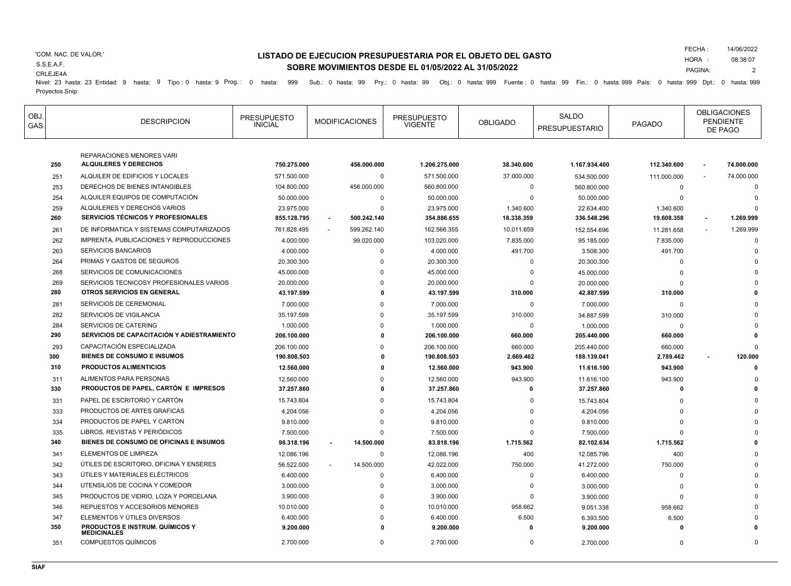### 'COM. NAC. DE VALOR.'

CRLEJE4A

S.S.E.A.F.

# **LISTADO DE EJECUCION PRESUPUESTARIA POR EL OBJETO DEL GASTO SOBRE MOVIMIENTOS DESDE EL 01/05/2022 AL 31/05/2022**

FECHA : 14/06/2022

HORA : PAGINA: 08:38:07

2

Nivel: 23 hasta: 23 Entidad: 9 hasta: 9 Tipo : 0 hasta: 9 Prog.: 0 hasta: 999 Sub.: 0 hasta: 99 Pry.: 0 hasta: 99 Obj.: 0 hasta: 999 Fuente : 0 hasta: 99 Fin.: 0 hasta: 999 País: 0 hasta: 999 Dpt.: 0 hasta: 999 Dpt.: 0 has Proyectos Snip:

| OBJ.<br>GAS. |     | <b>DESCRIPCION</b>                                               | <b>PRESUPUESTO</b><br><b>INICIAL</b> | <b>MODIFICACIONES</b> | <b>PRESUPUESTO</b><br><b>VIGENTE</b> | <b>OBLIGADO</b> | <b>SALDO</b><br><b>PRESUPUESTARIO</b> | <b>PAGADO</b> | <b>OBLIGACIONES</b><br><b>PENDIENTE</b><br>DE PAGO |
|--------------|-----|------------------------------------------------------------------|--------------------------------------|-----------------------|--------------------------------------|-----------------|---------------------------------------|---------------|----------------------------------------------------|
|              | 250 | <b>REPARACIONES MENORES VARI</b><br><b>ALQUILERES Y DERECHOS</b> | 750.275.000                          | 456.000.000           | 1.206.275.000                        | 38.340.600      | 1.167.934.400                         | 112.340.600   | 74.000.000                                         |
|              | 251 | ALQUILER DE EDIFICIOS Y LOCALES                                  | 571.500.000                          | 0                     | 571.500.000                          | 37.000.000      | 534.500.000                           | 111.000.000   | 74.000.000                                         |
|              | 253 | DERECHOS DE BIENES INTANGIBLES                                   | 104.800.000                          | 456.000.000           | 560.800.000                          | $\mathbf 0$     | 560.800.000                           | $\mathbf 0$   | $\Omega$                                           |
|              | 254 | ALQUILER EQUIPOS DE COMPUTACIÓN                                  | 50.000.000                           | $\mathbf 0$           | 50.000.000                           | $\Omega$        | 50.000.000                            | $\Omega$      | $\Omega$                                           |
|              | 259 | ALQUILERES Y DERECHOS VARIOS                                     | 23.975.000                           | $\Omega$              | 23.975.000                           | 1.340.600       | 22.634.400                            | 1.340.600     |                                                    |
|              | 260 | <b>SERVICIOS TÉCNICOS Y PROFESIONALES</b>                        | 855.128.795                          | 500.242.140           | 354.886.655                          | 18.338.359      | 336.548.296                           | 19.608.358    | 1.269.999                                          |
|              | 261 | DE INFORMATICA Y SISTEMAS COMPUTARIZADOS                         | 761.828.495                          | 599.262.140           | 162.566.355                          | 10.011.659      | 152.554.696                           | 11.281.658    | 1.269.999                                          |
|              | 262 | IMPRENTA, PUBLICACIONES Y REPRODUCCIONES                         | 4.000.000                            | 99.020.000            | 103.020.000                          | 7.835.000       | 95.185.000                            | 7.835.000     | $\Omega$                                           |
|              | 263 | <b>SERVICIOS BANCARIOS</b>                                       | 4.000.000                            | 0                     | 4.000.000                            | 491.700         | 3.508.300                             | 491.700       |                                                    |
|              | 264 | PRIMAS Y GASTOS DE SEGUROS                                       | 20.300.300                           | $\Omega$              | 20.300.300                           | $\Omega$        | 20.300.300                            | $\Omega$      |                                                    |
|              | 268 | SERVICIOS DE COMUNICACIONES                                      | 45.000.000                           | $\Omega$              | 45.000.000                           | $\Omega$        | 45.000.000                            | $\Omega$      |                                                    |
|              | 269 | SERVICIOS TECNICOSY PROFESIONALES VARIOS                         | 20.000.000                           | $\Omega$              | 20.000.000                           | $\Omega$        | 20.000.000                            | $\Omega$      |                                                    |
|              | 280 | OTROS SERVICIOS EN GENERAL                                       | 43.197.599                           | $\Omega$              | 43.197.599                           | 310.000         | 42.887.599                            | 310.000       |                                                    |
|              | 281 | SERVICIOS DE CEREMONIAL                                          | 7.000.000                            | $\Omega$              | 7.000.000                            | $\mathbf 0$     | 7.000.000                             | $\mathbf 0$   |                                                    |
|              | 282 | SERVICIOS DE VIGILANCIA                                          | 35.197.599                           | $\Omega$              | 35.197.599                           | 310.000         | 34.887.599                            | 310.000       |                                                    |
|              | 284 | <b>SERVICIOS DE CATERING</b>                                     | 1.000.000                            | $\Omega$              | 1.000.000                            | $\mathbf 0$     | 1.000.000                             | $\Omega$      |                                                    |
|              | 290 | SERVICIOS DE CAPACITACIÓN Y ADIESTRAMIENTO                       | 206.100.000                          |                       | 206.100.000                          | 660.000         | 205.440.000                           | 660.000       |                                                    |
|              | 293 | CAPACITACIÓN ESPECIALIZADA                                       | 206.100.000                          | <sup>0</sup>          | 206.100.000                          | 660,000         | 205.440.000                           | 660.000       | $\Omega$                                           |
|              | 300 | <b>BIENES DE CONSUMO E INSUMOS</b>                               | 190.808.503                          | $\mathbf{r}$          | 190.808.503                          | 2.669.462       | 188.139.041                           | 2.789.462     | 120.000                                            |
|              | 310 | <b>PRODUCTOS ALIMENTICIOS</b>                                    | 12.560.000                           |                       | 12.560.000                           | 943.900         | 11.616.100                            | 943.900       |                                                    |
|              | 311 | ALIMENTOS PARA PERSONAS                                          | 12.560.000                           | $\Omega$              | 12.560.000                           | 943.900         | 11.616.100                            | 943.900       |                                                    |
|              | 330 | PRODUCTOS DE PAPEL, CARTÓN E IMPRESOS                            | 37.257.860                           | $\Omega$              | 37.257.860                           | $\mathbf{0}$    | 37.257.860                            | 0             |                                                    |
|              | 331 | PAPEL DE ESCRITORIO Y CARTÓN                                     | 15.743.804                           | $\Omega$              | 15.743.804                           | $\Omega$        | 15.743.804                            | $\Omega$      |                                                    |
|              | 333 | PRODUCTOS DE ARTES GRAFICAS                                      | 4.204.056                            | $\Omega$              | 4.204.056                            | O               | 4.204.056                             | $\Omega$      |                                                    |
|              | 334 | PRODUCTOS DE PAPEL Y CARTON                                      | 9.810.000                            | $\Omega$              | 9.810.000                            | O               | 9.810.000                             | $\Omega$      |                                                    |
|              | 335 | LIBROS, REVISTAS Y PERIÓDICOS                                    | 7.500.000                            | $\Omega$              | 7.500.000                            | $\Omega$        | 7.500.000                             | $\Omega$      |                                                    |
|              | 340 | BIENES DE CONSUMO DE OFICINAS E INSUMOS                          | 98.318.196                           | 14.500.000            | 83.818.196                           | 1.715.562       | 82.102.634                            | 1.715.562     |                                                    |
|              | 341 | ELEMENTOS DE LIMPIEZA                                            | 12.086.196                           | 0                     | 12.086.196                           | 400             | 12.085.796                            | 400           |                                                    |
|              | 342 | ÚTILES DE ESCRITORIO, OFICINA Y ENSERES                          | 56.522.000                           | 14.500.000            | 42.022.000                           | 750.000         | 41.272.000                            | 750.000       |                                                    |
|              | 343 | ÚTILES Y MATERIALES ELÉCTRICOS                                   | 6.400.000                            | 0                     | 6.400.000                            | $\Omega$        | 6.400.000                             | $\Omega$      |                                                    |
|              | 344 | UTENSILIOS DE COCINA Y COMEDOR                                   | 3.000.000                            | $\Omega$              | 3.000.000                            | $\Omega$        | 3.000.000                             |               |                                                    |
|              | 345 | PRODUCTOS DE VIDRIO. LOZA Y PORCELANA                            | 3.900.000                            | $\Omega$              | 3.900.000                            | $\Omega$        | 3.900.000                             | $\Omega$      |                                                    |
|              | 346 | REPUESTOS Y ACCESORIOS MENORES                                   | 10.010.000                           | $\Omega$              | 10.010.000                           | 958.662         | 9.051.338                             | 958.662       |                                                    |
|              | 347 | ELEMENTOS Y ÚTILES DIVERSOS                                      | 6.400.000                            | $\Omega$              | 6.400.000                            | 6.500           | 6.393.500                             | 6.500         |                                                    |
|              | 350 | <b>PRODUCTOS E INSTRUM. QUÍMICOS Y</b><br><b>MEDICINALES</b>     | 9.200.000                            | $\Omega$              | 9.200.000                            | $\Omega$        | 9.200.000                             | $\Omega$      |                                                    |
|              | 351 | <b>COMPUESTOS QUÍMICOS</b>                                       | 2.700.000                            | $\Omega$              | 2.700.000                            | $\Omega$        | 2.700.000                             | $\Omega$      | $\Omega$                                           |